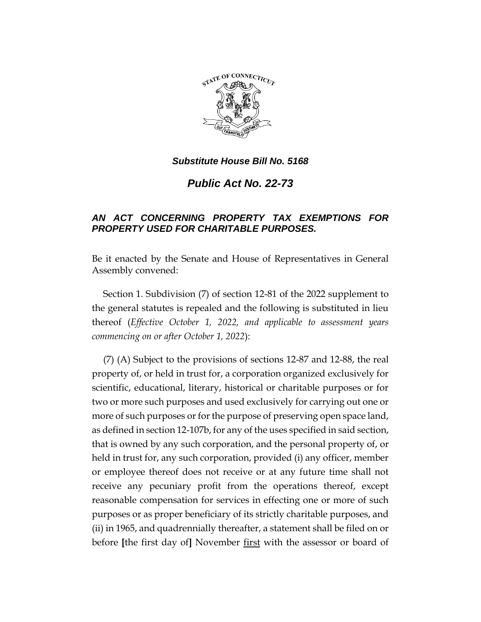

## *Substitute House Bill No. 5168*

*Public Act No. 22-73*

## *AN ACT CONCERNING PROPERTY TAX EXEMPTIONS FOR PROPERTY USED FOR CHARITABLE PURPOSES.*

Be it enacted by the Senate and House of Representatives in General Assembly convened:

Section 1. Subdivision (7) of section 12-81 of the 2022 supplement to the general statutes is repealed and the following is substituted in lieu thereof (*Effective October 1, 2022, and applicable to assessment years commencing on or after October 1, 2022*):

(7) (A) Subject to the provisions of sections 12-87 and 12-88, the real property of, or held in trust for, a corporation organized exclusively for scientific, educational, literary, historical or charitable purposes or for two or more such purposes and used exclusively for carrying out one or more of such purposes or for the purpose of preserving open space land, as defined in section 12-107b, for any of the uses specified in said section, that is owned by any such corporation, and the personal property of, or held in trust for, any such corporation, provided (i) any officer, member or employee thereof does not receive or at any future time shall not receive any pecuniary profit from the operations thereof, except reasonable compensation for services in effecting one or more of such purposes or as proper beneficiary of its strictly charitable purposes, and (ii) in 1965, and quadrennially thereafter, a statement shall be filed on or before **[**the first day of**]** November first with the assessor or board of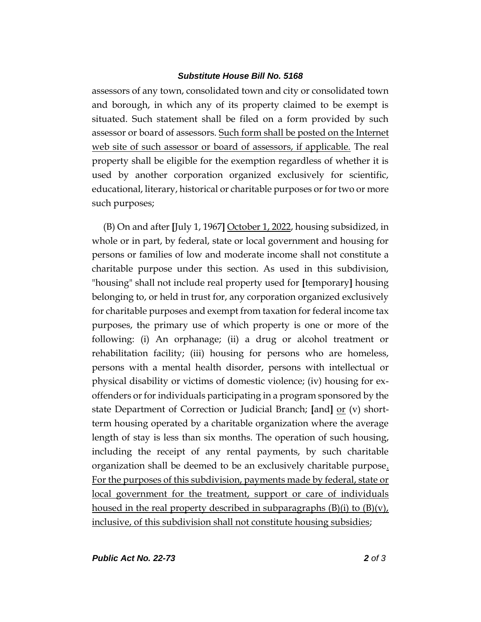## *Substitute House Bill No. 5168*

assessors of any town, consolidated town and city or consolidated town and borough, in which any of its property claimed to be exempt is situated. Such statement shall be filed on a form provided by such assessor or board of assessors. Such form shall be posted on the Internet web site of such assessor or board of assessors, if applicable. The real property shall be eligible for the exemption regardless of whether it is used by another corporation organized exclusively for scientific, educational, literary, historical or charitable purposes or for two or more such purposes;

(B) On and after **[**July 1, 1967**]** October 1, 2022, housing subsidized, in whole or in part, by federal, state or local government and housing for persons or families of low and moderate income shall not constitute a charitable purpose under this section. As used in this subdivision, "housing" shall not include real property used for **[**temporary**]** housing belonging to, or held in trust for, any corporation organized exclusively for charitable purposes and exempt from taxation for federal income tax purposes, the primary use of which property is one or more of the following: (i) An orphanage; (ii) a drug or alcohol treatment or rehabilitation facility; (iii) housing for persons who are homeless, persons with a mental health disorder, persons with intellectual or physical disability or victims of domestic violence; (iv) housing for exoffenders or for individuals participating in a program sponsored by the state Department of Correction or Judicial Branch; [and] <u>or</u> (v) shortterm housing operated by a charitable organization where the average length of stay is less than six months. The operation of such housing, including the receipt of any rental payments, by such charitable organization shall be deemed to be an exclusively charitable purpose. For the purposes of this subdivision, payments made by federal, state or local government for the treatment, support or care of individuals housed in the real property described in subparagraphs  $(B)(i)$  to  $(B)(v)$ , inclusive, of this subdivision shall not constitute housing subsidies;